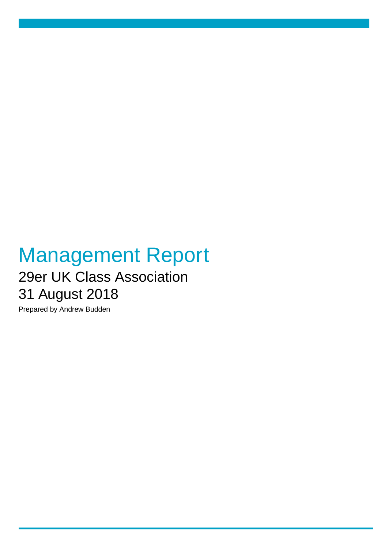## Management Report 29er UK Class Association 31 August 2018

Prepared by Andrew Budden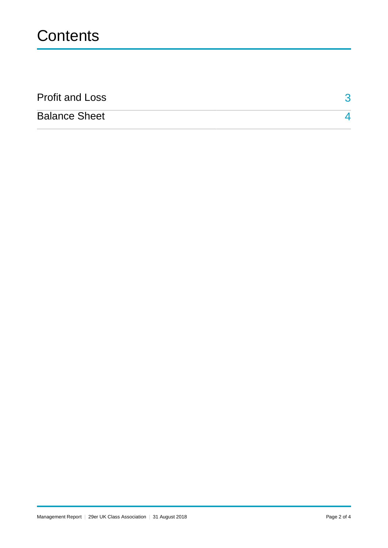| <b>Profit and Loss</b> |  |
|------------------------|--|
| <b>Balance Sheet</b>   |  |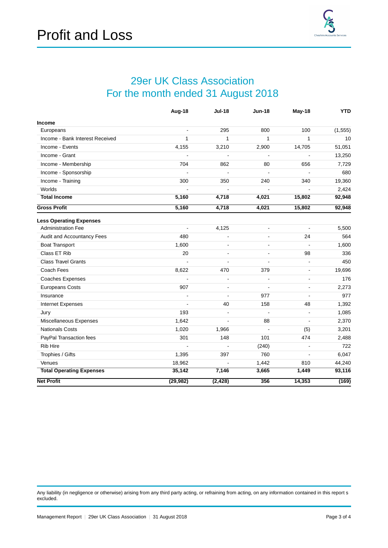## 29er UK Class Association For the month ended 31 August 2018

<span id="page-2-0"></span>

|                                 | Aug-18                   | <b>Jul-18</b>  | <b>Jun-18</b>  | May-18                   | <b>YTD</b> |
|---------------------------------|--------------------------|----------------|----------------|--------------------------|------------|
| <b>Income</b>                   |                          |                |                |                          |            |
| Europeans                       | $\blacksquare$           | 295            | 800            | 100                      | (1, 555)   |
| Income - Bank Interest Received | 1                        | 1              | 1              | 1                        | 10         |
| Income - Events                 | 4,155                    | 3,210          | 2,900          | 14,705                   | 51,051     |
| Income - Grant                  |                          |                | $\overline{a}$ |                          | 13,250     |
| Income - Membership             | 704                      | 862            | 80             | 656                      | 7,729      |
| Income - Sponsorship            |                          | L.             | $\overline{a}$ |                          | 680        |
| Income - Training               | 300                      | 350            | 240            | 340                      | 19,360     |
| Worlds                          |                          |                | L,             | $\blacksquare$           | 2,424      |
| <b>Total Income</b>             | 5,160                    | 4,718          | 4,021          | 15,802                   | 92,948     |
| <b>Gross Profit</b>             | 5,160                    | 4,718          | 4,021          | 15,802                   | 92,948     |
| <b>Less Operating Expenses</b>  |                          |                |                |                          |            |
| <b>Administration Fee</b>       | $\overline{\phantom{a}}$ | 4,125          | $\blacksquare$ | $\blacksquare$           | 5,500      |
| Audit and Accountancy Fees      | 480                      |                | $\sim$         | 24                       | 564        |
| <b>Boat Transport</b>           | 1,600                    |                | ä,             |                          | 1,600      |
| Class ET Rib                    | 20                       | ä,             | $\overline{a}$ | 98                       | 336        |
| <b>Class Travel Grants</b>      |                          | L,             | $\blacksquare$ | $\blacksquare$           | 450        |
| Coach Fees                      | 8,622                    | 470            | 379            | $\blacksquare$           | 19,696     |
| Coaches Expenses                |                          | ä,             | ÷              | $\overline{\phantom{a}}$ | 176        |
| <b>Europeans Costs</b>          | 907                      | ٠              | ÷,             | $\blacksquare$           | 2,273      |
| Insurance                       |                          | $\overline{a}$ | 977            | $\blacksquare$           | 977        |
| Internet Expenses               |                          | 40             | 158            | 48                       | 1,392      |
| Jury                            | 193                      | ä,             | ÷,             | $\overline{\phantom{a}}$ | 1,085      |
| Miscellaneous Expenses          | 1,642                    |                | 88             | $\overline{a}$           | 2,370      |
| <b>Nationals Costs</b>          | 1,020                    | 1,966          | $\overline{a}$ | (5)                      | 3,201      |
| PayPal Transaction fees         | 301                      | 148            | 101            | 474                      | 2,488      |
| <b>Rib Hire</b>                 |                          | ä,             | (240)          | $\overline{\phantom{a}}$ | 722        |
| Trophies / Gifts                | 1,395                    | 397            | 760            | $\blacksquare$           | 6,047      |
| Venues                          | 18,962                   | $\overline{a}$ | 1,442          | 810                      | 44,240     |
| <b>Total Operating Expenses</b> | 35,142                   | 7,146          | 3,665          | 1,449                    | 93,116     |
| <b>Net Profit</b>               | (29, 982)                | (2, 428)       | 356            | 14,353                   | (169)      |

Any liability (in negligence or otherwise) arising from any third party acting, or refraining from acting, on any information contained in this report s excluded.